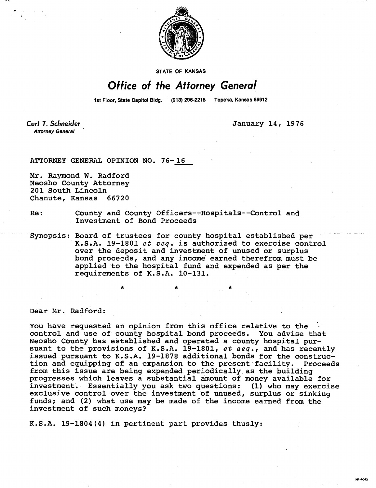

STATE OF KANSAS

## **Office of the Attorney General**

1st Floor, State Capitol Bldg. (913) 296-2215 Topeka, Kansas 66612

Curt T. Schneider **Attorney General** 

**January 14, 1976** 

**MI-5043** 

**ATTORNEY GENERAL OPINION NO. 76-16** 

**Mr. Raymond W. Radford Neosho County Attorney 201 South Lincoln Chanute, Kansas 66720** 

- **Re: County and County Officers--Hospitals--Control and Investment of Bond Proceeds**
- **Synopsis: Board of trustees for county hospital established per K.S.A. 19-1801** et seq. **is authorized to exercise control over the deposit and investment of unused or surplus bond proceeds, and any income earned therefrom must be applied to the hospital fund and expended as per the requirements of K.S.A. 10-131.**

**Dear Mr. Radford:** 

**You have requested an opinion from this office relative to the control and use of county hospital bond proceeds. You advise that Neosho County has established and operated a county hospital pursuant to the provisions of K.S.A. 19-1801,** et seq., **and has recently issued pursuant to K.S.A. 19-1878 additional bonds for the construction and equipping of an expansion to the present facility. Proceeds from this issue are being expended periodically as the building progresses which leaves a substantial amount of money available for investment. Essentially you ask two questions: (1) who may exercise exclusive control over the investment of unused, surplus or sinking funds; and (2) what use may be made of the income earned from the investment of such moneys?** 

**K.S.A. 19-1804(4) in pertinent part provides thusly:**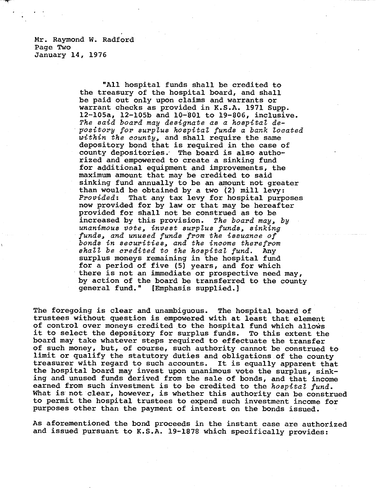Mr. Raymond W. Radford Page Two January 14, 1976

> "All hospital funds shall be credited to the treasury of the hospital board, and shall be paid out only upon claims and warrants or warrant checks as provided in K.S.A. 1971 Supp. 12-105a, 12-105b and 10-801 to 19-806, inclusive. The said board may designate as a hospital depository for surplus hospital funds a bank located within the county, and shall require the same depository bond that is required in the case of county depositories.' The board is also authorized and empowered to create a sinking fund for additional equipment and improvements, the maximum amount that may be credited to said sinking fund annually to be an amount not greater than would be obtained by a two (2) mill levy: Provided: That any tax levy for hospital purposes now provided for by law or that may be hereafter provided for shall not be construed as to be increased by this provision. The board may, by unanimous vote, invest surplus funds, sinking funds, and unused funds from the issuance of bonds in securities, and the income therefrom shall be credited to the hospital fund. Any surplus moneys remaining in the hospital fund for a period of five (5) years, and for which there is not an immediate or prospective need may, by action of the board **be** transferred to the county general fund." [Emphasis supplied.]

The foregoing is clear and unambiguous. The hospital board of trustees without question is empowered with at least that element of control over moneys credited to the hospital fund which allows it to select the depository for surplus funds. To this extent the board may take whatever steps required to effectuate the transfer of such money, but, of course, such authority cannot be construed to limit or qualify the statutory duties and obligations of the county treasurer with regard to such accounts. It is equally apparent that the hospital board may invest upon unanimous vote the surplus, sinking and unused funds derived from the sale of bonds, and that income earned from such investment is to be credited to the hospital fund. What is not clear, however, is whether this authority can be construed to permit the hospital trustees to expend such investment income for purposes other than the payment of interest on the bonds issued.

As aforementioned the bond proceeds in the instant case are authorized and issued pursuant to K.S.A. 19-1878 which specifically provides: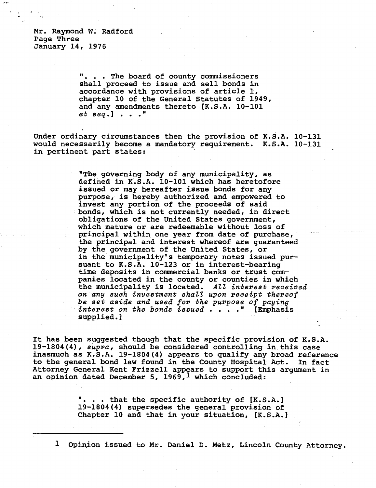Mr. Raymond W. Radford Page Three January 14, 1976

> **. . . The board of county commissioners shall proceed to issue and sell bonds in accordance with provisions of article 1, chapter 10 of the General Statutes of 1949, and any amendments thereto [K.S.A. 10-101**  et seq.] . . ."

**Under ordinary circumstances then the provision of K.S.A. 10-131 would necessarily become a mandatory requirement. K.S.A. 10-131 in pertinent part states:** 

> **"The governing body of any municipality, as defined in K.S.A. 10-101 which has heretofore issued or may hereafter issue bonds for any purpose, is hereby authorized and empowered to invest any portion of the proceeds of said bonds, which is not currently needed, in direct obligations of the United States government, which mature or are redeemable without loss of principal within**, **one year from date of purchase, the principal and interest whereof are guaranteed by the government of the United States, or in the municipality's temporary notes issued pursuant to K.S.A. 10-123 or in interest-bearing time deposits in commercial banks or trust companies located in the county or counties in which the municipality is located.** All interest received on any such investment shall upon receipt thereof be set aside and used for the purpose of paying interest on the bonds issued . . . ." **[Emphasis supplied.]**

**It has been suggested though that the specific provision of K.S.A. 19-1804(4),** supra, **should be considered controlling in this case inasmuch as K.S.A. 19-1804(4) appears to qualify any broad reference to the general bond law found in the County Hospital Act. In fact Attorney General Kent Frizzell appears to support this argument in an opinion dated December 5, 1969, 1which concluded:** 

> **". . . that the specific authority of [K.S.A.] 19-1804(4) supersedes the general provision of Chapter 10 and that in your situation, [K.S.A.]**

**1Opinion issued to Mr. Daniel D. Metz, Lincoln County Attorney.**